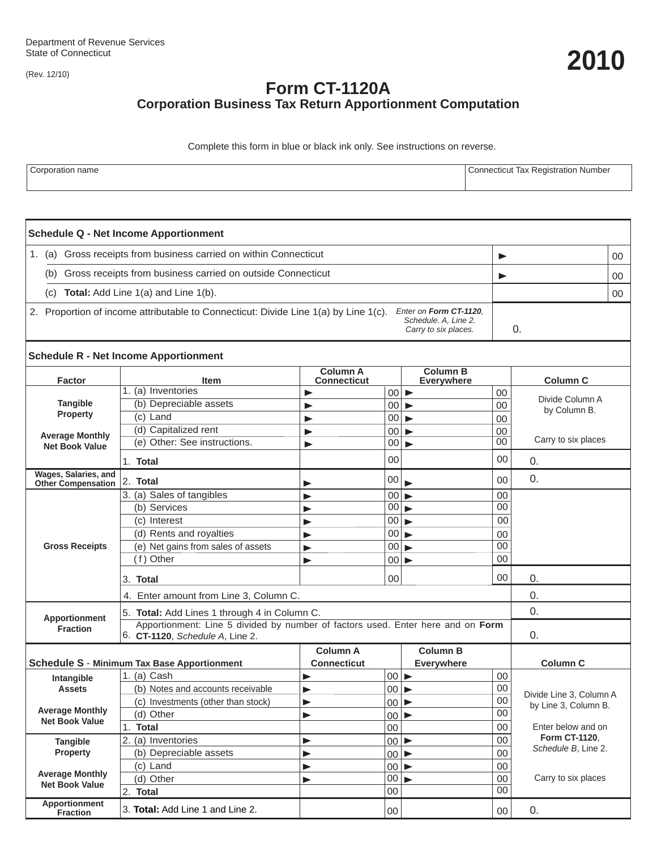(Rev. 12/10)

# **Form CT-1120A Corporation Business Tax Return Apportionment Computation**

Complete this form in blue or black ink only. See instructions on reverse.

| Corporation name | : Tax Registration Number<br>Connecticut |
|------------------|------------------------------------------|
|                  |                                          |

| <b>Schedule Q - Net Income Apportionment</b>                                                                  |                                                                                                                    |                                |                                   |                                      |                 |                         |    |  |  |
|---------------------------------------------------------------------------------------------------------------|--------------------------------------------------------------------------------------------------------------------|--------------------------------|-----------------------------------|--------------------------------------|-----------------|-------------------------|----|--|--|
| 1. (a) Gross receipts from business carried on within Connecticut                                             |                                                                                                                    |                                |                                   |                                      | ▶               |                         | 00 |  |  |
| (b)                                                                                                           | Gross receipts from business carried on outside Connecticut                                                        |                                |                                   |                                      |                 | ▶                       |    |  |  |
| <b>Total:</b> Add Line 1(a) and Line 1(b).<br>(C)                                                             |                                                                                                                    |                                |                                   |                                      |                 |                         | 00 |  |  |
| Enter on Form CT-1120,<br>2. Proportion of income attributable to Connecticut: Divide Line 1(a) by Line 1(c). |                                                                                                                    |                                |                                   |                                      |                 |                         |    |  |  |
| Schedule. A, Line 2.<br>Carry to six places.                                                                  |                                                                                                                    |                                |                                   | 0.                                   |                 |                         |    |  |  |
| <b>Schedule R - Net Income Apportionment</b>                                                                  |                                                                                                                    |                                |                                   |                                      |                 |                         |    |  |  |
| <b>Factor</b>                                                                                                 | <b>Item</b>                                                                                                        | <b>Column A</b><br>Connecticut |                                   | <b>Column B</b><br><b>Everywhere</b> |                 | <b>Column C</b>         |    |  |  |
| <b>Tangible</b>                                                                                               | 1. (a) Inventories                                                                                                 | ▶                              | $00$ $\blacktriangleright$        |                                      | 00              | Divide Column A         |    |  |  |
|                                                                                                               | (b) Depreciable assets                                                                                             | ▶                              | 00 <sup>1</sup>                   | $\blacktriangleright$                | $00\,$          | by Column B.            |    |  |  |
| <b>Property</b>                                                                                               | (c) Land                                                                                                           | ▶                              | 00 <sup>1</sup>                   | $\blacktriangleright$                | 00              |                         |    |  |  |
| <b>Average Monthly</b><br><b>Net Book Value</b>                                                               | (d) Capitalized rent                                                                                               |                                | 00 <sup>1</sup>                   | ▶                                    | 00              |                         |    |  |  |
|                                                                                                               | (e) Other: See instructions.                                                                                       | ▶                              | 00 <sub>1</sub>                   | ь                                    | 00              | Carry to six places     |    |  |  |
|                                                                                                               | 1. Total                                                                                                           |                                | 00                                |                                      | 00              | 0.                      |    |  |  |
| Wages, Salaries, and<br><b>Other Compensation</b>                                                             | 2. Total                                                                                                           | ▶                              | 00                                | $\qquad \qquad \blacksquare$         | 00              | 0.                      |    |  |  |
| <b>Gross Receipts</b>                                                                                         | 3. (a) Sales of tangibles                                                                                          | ▶                              | $ 00  \blacktriangleright$        |                                      | 00              |                         |    |  |  |
|                                                                                                               | (b) Services                                                                                                       | ▶                              | 00                                |                                      | 00              |                         |    |  |  |
|                                                                                                               | (c) Interest                                                                                                       | ▶                              | 00                                |                                      | 00              |                         |    |  |  |
|                                                                                                               | (d) Rents and royalties                                                                                            | ь                              | $ 00  \blacktriangleright$        |                                      | 00              |                         |    |  |  |
|                                                                                                               | (e) Net gains from sales of assets                                                                                 | ь                              | $00 _{\blacktriangleright}$       |                                      | 00              |                         |    |  |  |
|                                                                                                               | (f) Other                                                                                                          | ь                              | $ 00  \blacktriangleright$        |                                      | 00              |                         |    |  |  |
|                                                                                                               | 3. Total                                                                                                           |                                | 00                                |                                      | 00              | 0.                      |    |  |  |
|                                                                                                               | 4. Enter amount from Line 3, Column C.                                                                             | 0.                             |                                   |                                      |                 |                         |    |  |  |
| 5. Total: Add Lines 1 through 4 in Column C.                                                                  |                                                                                                                    |                                |                                   |                                      |                 | 0.                      |    |  |  |
| Apportionment<br><b>Fraction</b>                                                                              | Apportionment: Line 5 divided by number of factors used. Enter here and on Form<br>6. CT-1120, Schedule A, Line 2. |                                |                                   |                                      |                 |                         |    |  |  |
|                                                                                                               | 0.                                                                                                                 |                                |                                   |                                      |                 |                         |    |  |  |
|                                                                                                               |                                                                                                                    | <b>Column A</b>                |                                   | <b>Column B</b>                      |                 |                         |    |  |  |
|                                                                                                               | <b>Schedule S - Minimum Tax Base Apportionment</b>                                                                 | <b>Connecticut</b>             |                                   | Everywhere                           |                 | <b>Column C</b>         |    |  |  |
| Intangible<br><b>Assets</b><br><b>Average Monthly</b><br><b>Net Book Value</b>                                | 1. (a) Cash                                                                                                        | ▶                              | $00$ $\blacktriangleright$        |                                      | 00<br>00        |                         |    |  |  |
|                                                                                                               | (b) Notes and accounts receivable<br>(c) Investments (other than stock)                                            | ▶                              | $00$ $\blacktriangleright$<br> 00 |                                      | $00\,$          | Divide Line 3, Column A |    |  |  |
|                                                                                                               | (d) Other                                                                                                          | ▶                              | $00$ $\blacktriangleright$        |                                      | 00              | by Line 3, Column B.    |    |  |  |
|                                                                                                               | <b>Total</b><br>1.                                                                                                 | ▶                              | $00\,$                            |                                      | $00\,$          | Enter below and on      |    |  |  |
| <b>Tangible</b><br><b>Property</b>                                                                            | 2. (a) Inventories                                                                                                 | ▶                              | $00$ $\blacktriangleright$        |                                      | $00\,$          | Form CT-1120.           |    |  |  |
|                                                                                                               | (b) Depreciable assets                                                                                             | ▶                              | $00$ $\blacktriangleright$        |                                      | 00              | Schedule B, Line 2.     |    |  |  |
|                                                                                                               | (c) Land                                                                                                           | ▶                              | $00 \blacktriangleright$          |                                      | 00              |                         |    |  |  |
| <b>Average Monthly</b><br><b>Net Book Value</b>                                                               | (d) Other                                                                                                          | ▶                              | $00 \blacktriangleright$          |                                      | $00\,$          | Carry to six places     |    |  |  |
|                                                                                                               | 2. Total                                                                                                           |                                | 00                                |                                      | $\overline{00}$ |                         |    |  |  |
| Apportionment<br><b>Fraction</b>                                                                              | 3. Total: Add Line 1 and Line 2.                                                                                   |                                | $00\,$                            |                                      | $00\,$          | 0.                      |    |  |  |